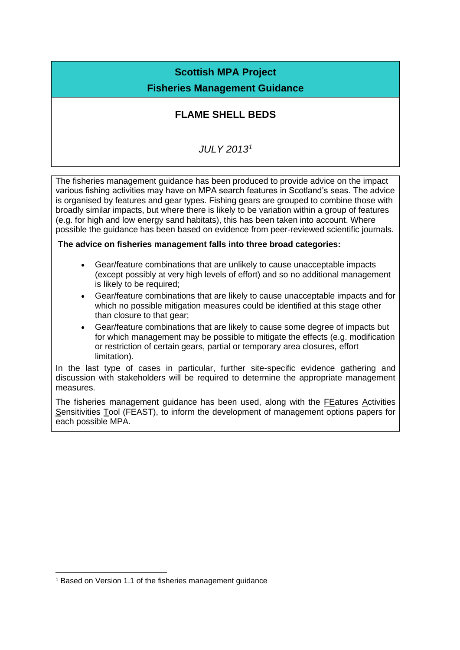## **Scottish MPA Project**

## **Fisheries Management Guidance**

## **FLAME SHELL BEDS**

## *JULY 2013<sup>1</sup>*

The fisheries management guidance has been produced to provide advice on the impact various fishing activities may have on MPA search features in Scotland's seas. The advice is organised by features and gear types. Fishing gears are grouped to combine those with broadly similar impacts, but where there is likely to be variation within a group of features (e.g. for high and low energy sand habitats), this has been taken into account. Where possible the guidance has been based on evidence from peer-reviewed scientific journals.

#### **The advice on fisheries management falls into three broad categories:**

- Gear/feature combinations that are unlikely to cause unacceptable impacts (except possibly at very high levels of effort) and so no additional management is likely to be required;
- Gear/feature combinations that are likely to cause unacceptable impacts and for which no possible mitigation measures could be identified at this stage other than closure to that gear;
- Gear/feature combinations that are likely to cause some degree of impacts but for which management may be possible to mitigate the effects (e.g. modification or restriction of certain gears, partial or temporary area closures, effort limitation).

In the last type of cases in particular, further site-specific evidence gathering and discussion with stakeholders will be required to determine the appropriate management measures.

The fisheries management guidance has been used, along with the FEatures Activities Sensitivities Tool (FEAST), to inform the development of management options papers for each possible MPA.

<sup>&</sup>lt;sup>1</sup> Based on Version 1.1 of the fisheries management quidance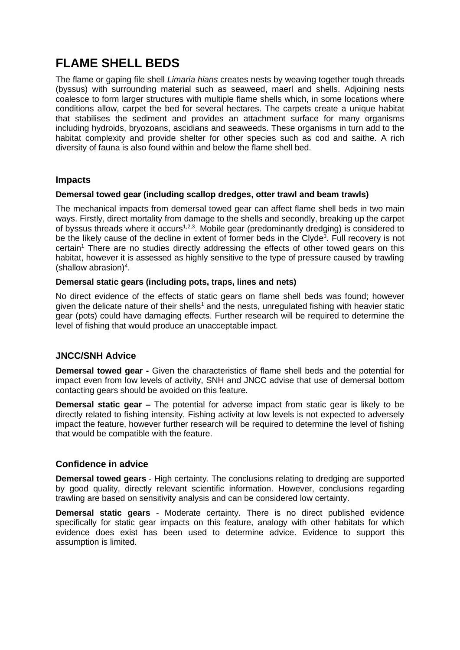# **FLAME SHELL BEDS**

The flame or gaping file shell *Limaria hians* creates nests by weaving together tough threads (byssus) with surrounding material such as seaweed, maerl and shells. Adjoining nests coalesce to form larger structures with multiple flame shells which, in some locations where conditions allow, carpet the bed for several hectares. The carpets create a unique habitat that stabilises the sediment and provides an attachment surface for many organisms including hydroids, bryozoans, ascidians and seaweeds. These organisms in turn add to the habitat complexity and provide shelter for other species such as cod and saithe. A rich diversity of fauna is also found within and below the flame shell bed.

#### **Impacts**

#### **Demersal towed gear (including scallop dredges, otter trawl and beam trawls)**

The mechanical impacts from demersal towed gear can affect flame shell beds in two main ways. Firstly, direct mortality from damage to the shells and secondly, breaking up the carpet of byssus threads where it occurs<sup>1,2,3</sup>. Mobile gear (predominantly dredging) is considered to be the likely cause of the decline in extent of former beds in the Clyde<sup>3</sup>. Full recovery is not certain<sup>1</sup> There are no studies directly addressing the effects of other towed gears on this habitat, however it is assessed as highly sensitive to the type of pressure caused by trawling  $(shallow$  abrasion)<sup>4</sup>.

#### **Demersal static gears (including pots, traps, lines and nets)**

No direct evidence of the effects of static gears on flame shell beds was found; however given the delicate nature of their shells<sup>1</sup> and the nests, unregulated fishing with heavier static gear (pots) could have damaging effects. Further research will be required to determine the level of fishing that would produce an unacceptable impact.

#### **JNCC/SNH Advice**

**Demersal towed gear -** Given the characteristics of flame shell beds and the potential for impact even from low levels of activity, SNH and JNCC advise that use of demersal bottom contacting gears should be avoided on this feature.

**Demersal static gear –** The potential for adverse impact from static gear is likely to be directly related to fishing intensity. Fishing activity at low levels is not expected to adversely impact the feature, however further research will be required to determine the level of fishing that would be compatible with the feature.

#### **Confidence in advice**

**Demersal towed gears** - High certainty. The conclusions relating to dredging are supported by good quality, directly relevant scientific information. However, conclusions regarding trawling are based on sensitivity analysis and can be considered low certainty.

**Demersal static gears** - Moderate certainty. There is no direct published evidence specifically for static gear impacts on this feature, analogy with other habitats for which evidence does exist has been used to determine advice. Evidence to support this assumption is limited.